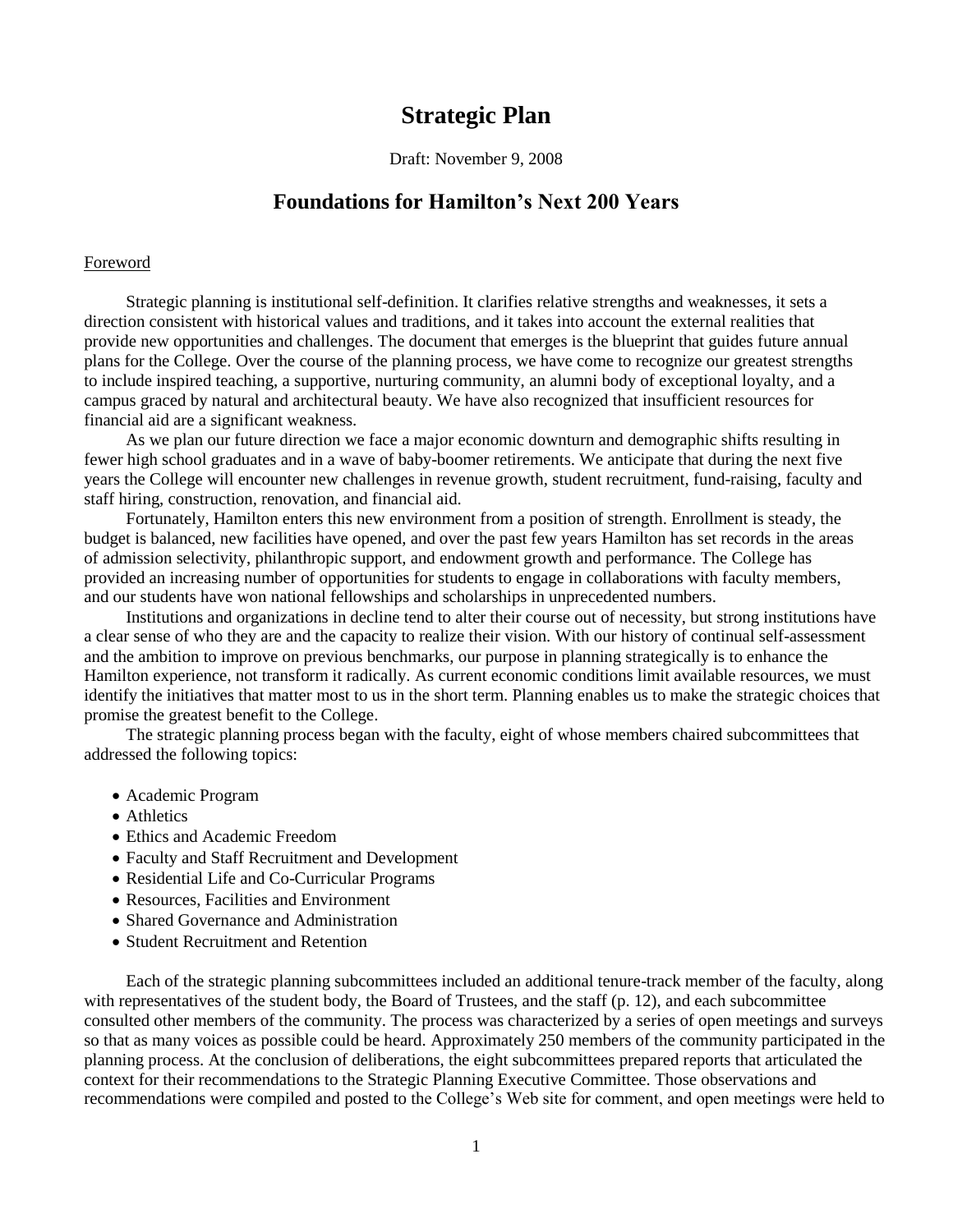# **Strategic Plan**

Draft: November 9, 2008

# **Foundations for Hamilton's Next 200 Years**

#### Foreword

Strategic planning is institutional self-definition. It clarifies relative strengths and weaknesses, it sets a direction consistent with historical values and traditions, and it takes into account the external realities that provide new opportunities and challenges. The document that emerges is the blueprint that guides future annual plans for the College. Over the course of the planning process, we have come to recognize our greatest strengths to include inspired teaching, a supportive, nurturing community, an alumni body of exceptional loyalty, and a campus graced by natural and architectural beauty. We have also recognized that insufficient resources for financial aid are a significant weakness.

As we plan our future direction we face a major economic downturn and demographic shifts resulting in fewer high school graduates and in a wave of baby-boomer retirements. We anticipate that during the next five years the College will encounter new challenges in revenue growth, student recruitment, fund-raising, faculty and staff hiring, construction, renovation, and financial aid.

Fortunately, Hamilton enters this new environment from a position of strength. Enrollment is steady, the budget is balanced, new facilities have opened, and over the past few years Hamilton has set records in the areas of admission selectivity, philanthropic support, and endowment growth and performance. The College has provided an increasing number of opportunities for students to engage in collaborations with faculty members, and our students have won national fellowships and scholarships in unprecedented numbers.

Institutions and organizations in decline tend to alter their course out of necessity, but strong institutions have a clear sense of who they are and the capacity to realize their vision. With our history of continual self-assessment and the ambition to improve on previous benchmarks, our purpose in planning strategically is to enhance the Hamilton experience, not transform it radically. As current economic conditions limit available resources, we must identify the initiatives that matter most to us in the short term. Planning enables us to make the strategic choices that promise the greatest benefit to the College.

The strategic planning process began with the faculty, eight of whose members chaired subcommittees that addressed the following topics:

- Academic Program
- Athletics
- Ethics and Academic Freedom
- Faculty and Staff Recruitment and Development
- Residential Life and Co-Curricular Programs
- Resources, Facilities and Environment
- Shared Governance and Administration
- Student Recruitment and Retention

Each of the strategic planning subcommittees included an additional tenure-track member of the faculty, along with representatives of the student body, the Board of Trustees, and the staff (p. 12), and each subcommittee consulted other members of the community. The process was characterized by a series of open meetings and surveys so that as many voices as possible could be heard. Approximately 250 members of the community participated in the planning process. At the conclusion of deliberations, the eight subcommittees prepared reports that articulated the context for their recommendations to the Strategic Planning Executive Committee. Those observations and recommendations were compiled and posted to the College's Web site for comment, and open meetings were held to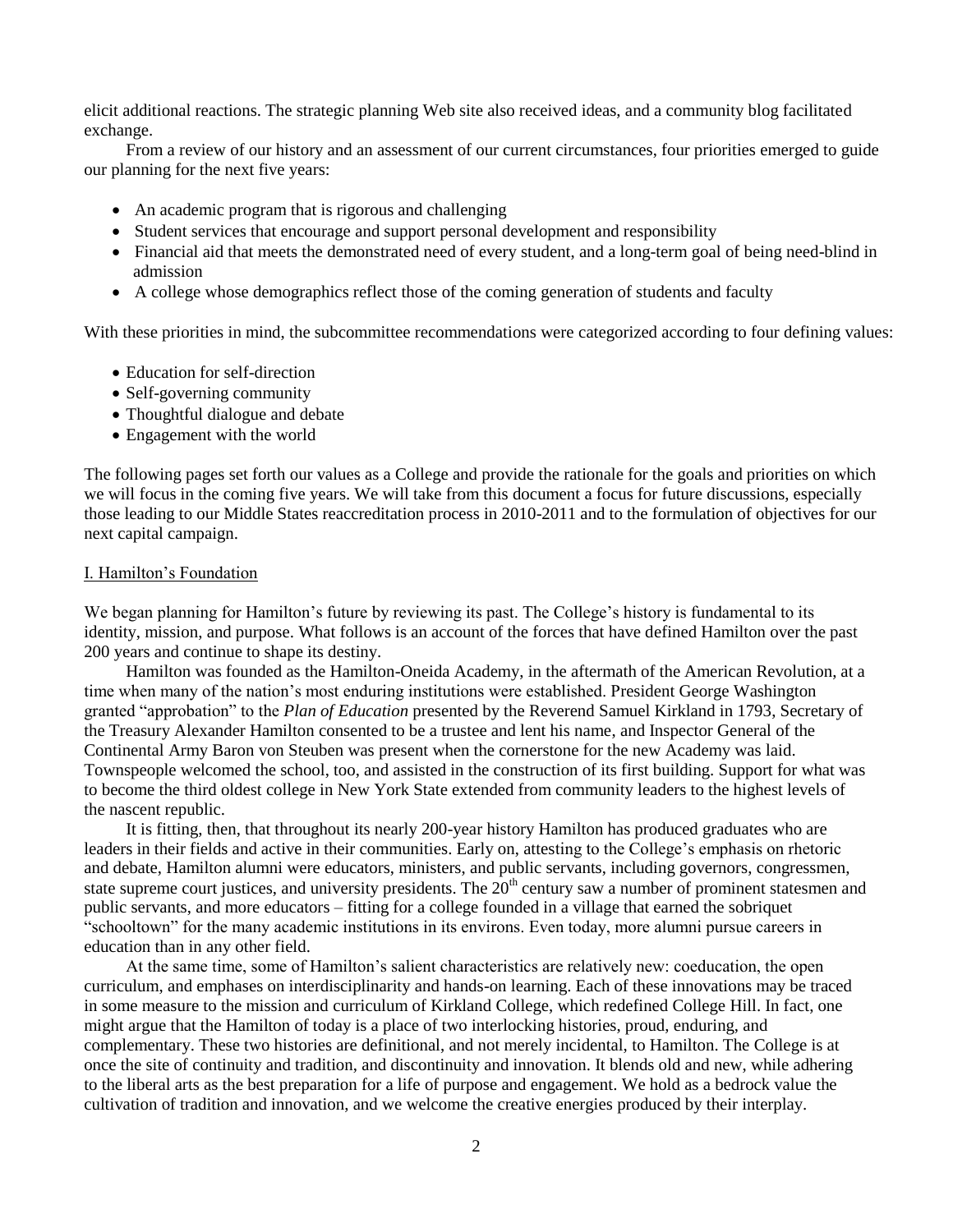elicit additional reactions. The strategic planning Web site also received ideas, and a community blog facilitated exchange.

From a review of our history and an assessment of our current circumstances, four priorities emerged to guide our planning for the next five years:

- An academic program that is rigorous and challenging
- Student services that encourage and support personal development and responsibility
- Financial aid that meets the demonstrated need of every student, and a long-term goal of being need-blind in admission
- A college whose demographics reflect those of the coming generation of students and faculty

With these priorities in mind, the subcommittee recommendations were categorized according to four defining values:

- Education for self-direction
- Self-governing community
- Thoughtful dialogue and debate
- Engagement with the world

The following pages set forth our values as a College and provide the rationale for the goals and priorities on which we will focus in the coming five years. We will take from this document a focus for future discussions, especially those leading to our Middle States reaccreditation process in 2010-2011 and to the formulation of objectives for our next capital campaign.

#### I. Hamilton's Foundation

We began planning for Hamilton's future by reviewing its past. The College's history is fundamental to its identity, mission, and purpose. What follows is an account of the forces that have defined Hamilton over the past 200 years and continue to shape its destiny.

Hamilton was founded as the Hamilton-Oneida Academy, in the aftermath of the American Revolution, at a time when many of the nation's most enduring institutions were established. President George Washington granted "approbation" to the *Plan of Education* presented by the Reverend Samuel Kirkland in 1793, Secretary of the Treasury Alexander Hamilton consented to be a trustee and lent his name, and Inspector General of the Continental Army Baron von Steuben was present when the cornerstone for the new Academy was laid. Townspeople welcomed the school, too, and assisted in the construction of its first building. Support for what was to become the third oldest college in New York State extended from community leaders to the highest levels of the nascent republic.

It is fitting, then, that throughout its nearly 200-year history Hamilton has produced graduates who are leaders in their fields and active in their communities. Early on, attesting to the College's emphasis on rhetoric and debate, Hamilton alumni were educators, ministers, and public servants, including governors, congressmen, state supreme court justices, and university presidents. The  $20<sup>th</sup>$  century saw a number of prominent statesmen and public servants, and more educators – fitting for a college founded in a village that earned the sobriquet "schooltown" for the many academic institutions in its environs. Even today, more alumni pursue careers in education than in any other field.

At the same time, some of Hamilton's salient characteristics are relatively new: coeducation, the open curriculum, and emphases on interdisciplinarity and hands-on learning. Each of these innovations may be traced in some measure to the mission and curriculum of Kirkland College, which redefined College Hill. In fact, one might argue that the Hamilton of today is a place of two interlocking histories, proud, enduring, and complementary. These two histories are definitional, and not merely incidental, to Hamilton. The College is at once the site of continuity and tradition, and discontinuity and innovation. It blends old and new, while adhering to the liberal arts as the best preparation for a life of purpose and engagement. We hold as a bedrock value the cultivation of tradition and innovation, and we welcome the creative energies produced by their interplay.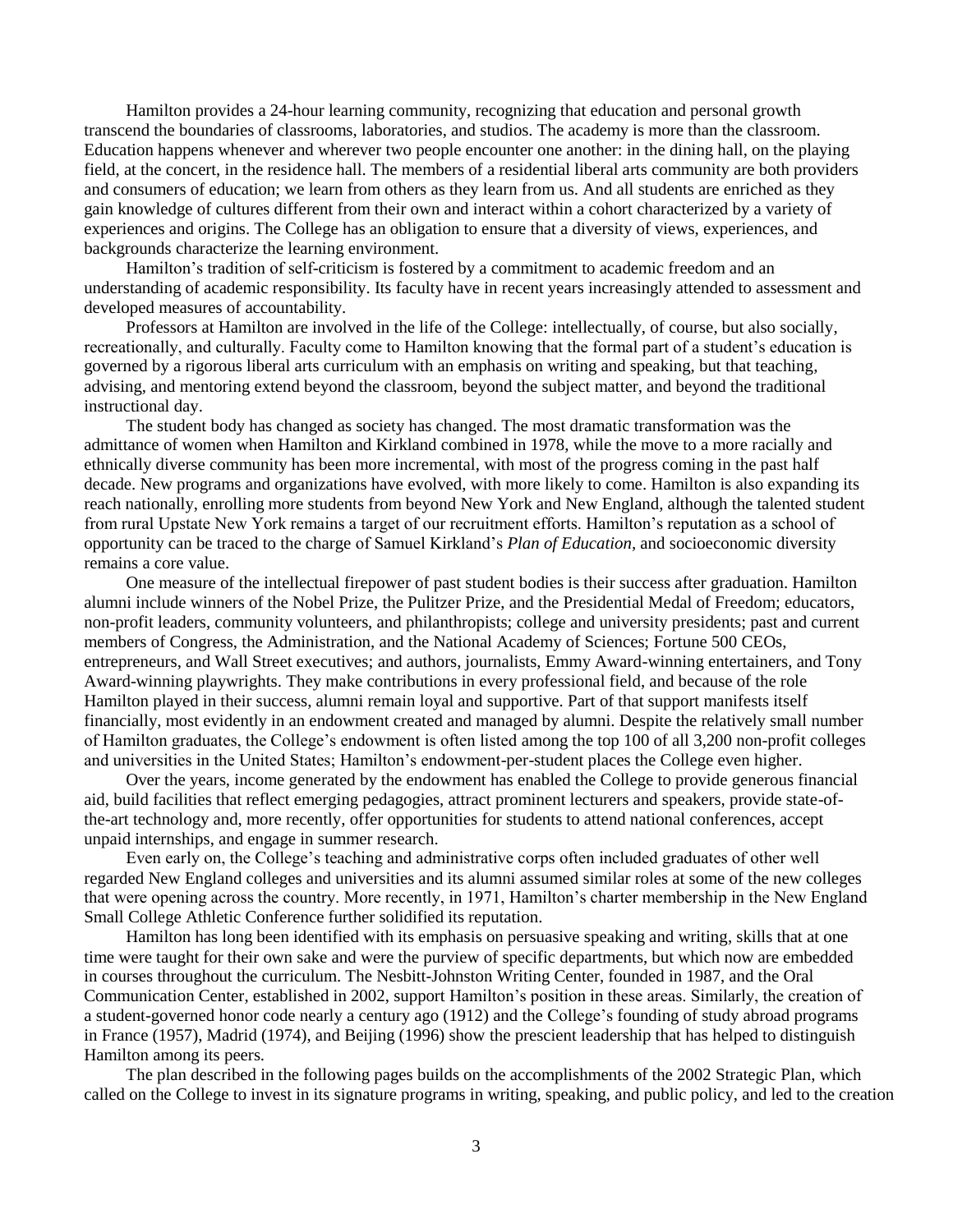Hamilton provides a 24-hour learning community, recognizing that education and personal growth transcend the boundaries of classrooms, laboratories, and studios. The academy is more than the classroom. Education happens whenever and wherever two people encounter one another: in the dining hall, on the playing field, at the concert, in the residence hall. The members of a residential liberal arts community are both providers and consumers of education; we learn from others as they learn from us. And all students are enriched as they gain knowledge of cultures different from their own and interact within a cohort characterized by a variety of experiences and origins. The College has an obligation to ensure that a diversity of views, experiences, and backgrounds characterize the learning environment.

Hamilton's tradition of self-criticism is fostered by a commitment to academic freedom and an understanding of academic responsibility. Its faculty have in recent years increasingly attended to assessment and developed measures of accountability.

Professors at Hamilton are involved in the life of the College: intellectually, of course, but also socially, recreationally, and culturally. Faculty come to Hamilton knowing that the formal part of a student's education is governed by a rigorous liberal arts curriculum with an emphasis on writing and speaking, but that teaching, advising, and mentoring extend beyond the classroom, beyond the subject matter, and beyond the traditional instructional day.

The student body has changed as society has changed. The most dramatic transformation was the admittance of women when Hamilton and Kirkland combined in 1978, while the move to a more racially and ethnically diverse community has been more incremental, with most of the progress coming in the past half decade. New programs and organizations have evolved, with more likely to come. Hamilton is also expanding its reach nationally, enrolling more students from beyond New York and New England, although the talented student from rural Upstate New York remains a target of our recruitment efforts. Hamilton's reputation as a school of opportunity can be traced to the charge of Samuel Kirkland's *Plan of Education,* and socioeconomic diversity remains a core value.

One measure of the intellectual firepower of past student bodies is their success after graduation. Hamilton alumni include winners of the Nobel Prize, the Pulitzer Prize, and the Presidential Medal of Freedom; educators, non-profit leaders, community volunteers, and philanthropists; college and university presidents; past and current members of Congress, the Administration, and the National Academy of Sciences; Fortune 500 CEOs, entrepreneurs, and Wall Street executives; and authors, journalists, Emmy Award-winning entertainers, and Tony Award-winning playwrights. They make contributions in every professional field, and because of the role Hamilton played in their success, alumni remain loyal and supportive. Part of that support manifests itself financially, most evidently in an endowment created and managed by alumni. Despite the relatively small number of Hamilton graduates, the College's endowment is often listed among the top 100 of all 3,200 non-profit colleges and universities in the United States; Hamilton's endowment-per-student places the College even higher.

Over the years, income generated by the endowment has enabled the College to provide generous financial aid, build facilities that reflect emerging pedagogies, attract prominent lecturers and speakers, provide state-ofthe-art technology and, more recently, offer opportunities for students to attend national conferences, accept unpaid internships, and engage in summer research.

Even early on, the College's teaching and administrative corps often included graduates of other well regarded New England colleges and universities and its alumni assumed similar roles at some of the new colleges that were opening across the country. More recently, in 1971, Hamilton's charter membership in the New England Small College Athletic Conference further solidified its reputation.

Hamilton has long been identified with its emphasis on persuasive speaking and writing, skills that at one time were taught for their own sake and were the purview of specific departments, but which now are embedded in courses throughout the curriculum. The Nesbitt-Johnston Writing Center, founded in 1987, and the Oral Communication Center, established in 2002, support Hamilton's position in these areas. Similarly, the creation of a student-governed honor code nearly a century ago (1912) and the College's founding of study abroad programs in France (1957), Madrid (1974), and Beijing (1996) show the prescient leadership that has helped to distinguish Hamilton among its peers.

The plan described in the following pages builds on the accomplishments of the 2002 Strategic Plan, which called on the College to invest in its signature programs in writing, speaking, and public policy, and led to the creation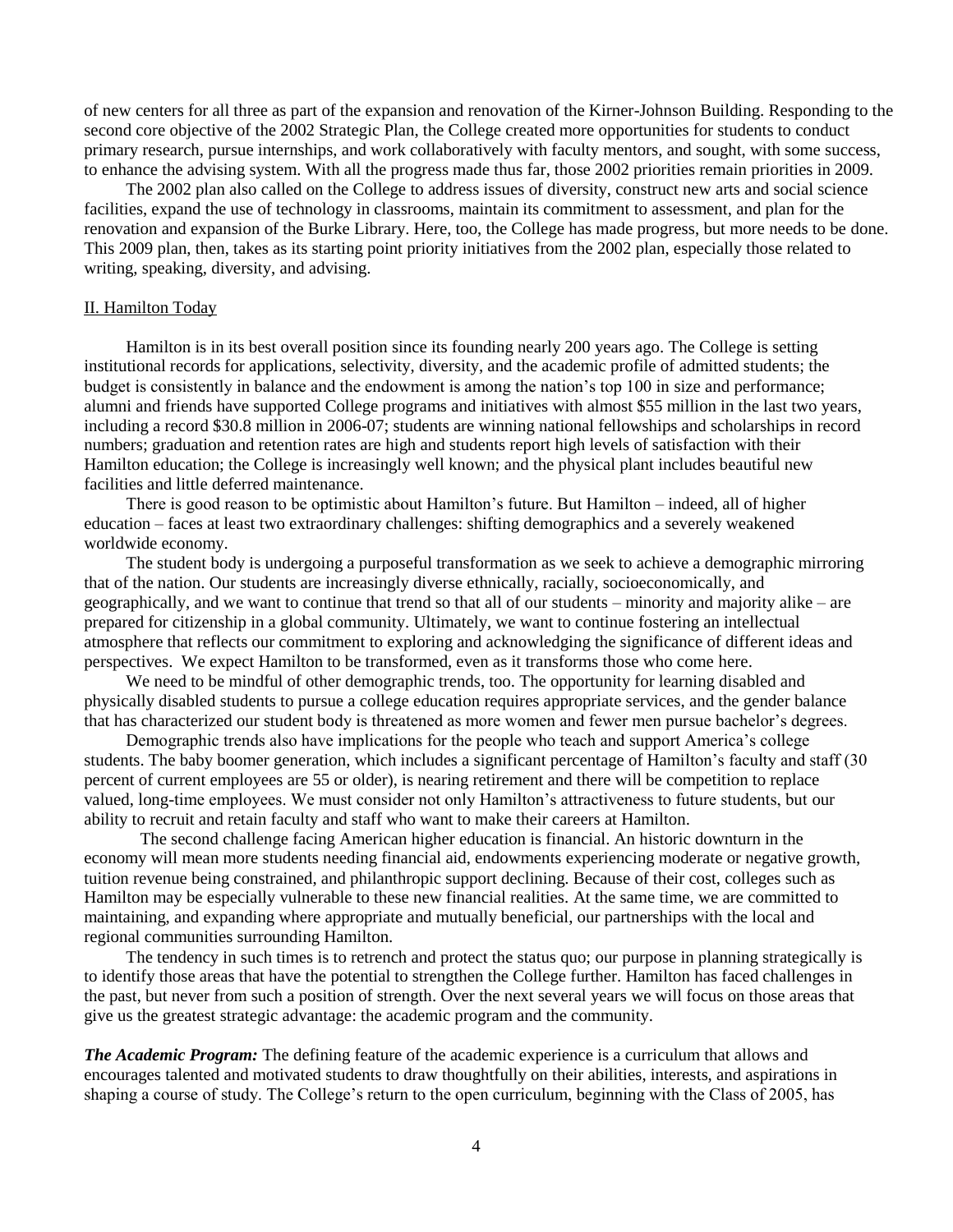of new centers for all three as part of the expansion and renovation of the Kirner-Johnson Building. Responding to the second core objective of the 2002 Strategic Plan, the College created more opportunities for students to conduct primary research, pursue internships, and work collaboratively with faculty mentors, and sought, with some success, to enhance the advising system. With all the progress made thus far, those 2002 priorities remain priorities in 2009.

The 2002 plan also called on the College to address issues of diversity, construct new arts and social science facilities, expand the use of technology in classrooms, maintain its commitment to assessment, and plan for the renovation and expansion of the Burke Library. Here, too, the College has made progress, but more needs to be done. This 2009 plan, then, takes as its starting point priority initiatives from the 2002 plan, especially those related to writing, speaking, diversity, and advising.

#### II. Hamilton Today

Hamilton is in its best overall position since its founding nearly 200 years ago. The College is setting institutional records for applications, selectivity, diversity, and the academic profile of admitted students; the budget is consistently in balance and the endowment is among the nation's top 100 in size and performance; alumni and friends have supported College programs and initiatives with almost \$55 million in the last two years, including a record \$30.8 million in 2006-07; students are winning national fellowships and scholarships in record numbers; graduation and retention rates are high and students report high levels of satisfaction with their Hamilton education; the College is increasingly well known; and the physical plant includes beautiful new facilities and little deferred maintenance.

There is good reason to be optimistic about Hamilton's future. But Hamilton – indeed, all of higher education – faces at least two extraordinary challenges: shifting demographics and a severely weakened worldwide economy.

The student body is undergoing a purposeful transformation as we seek to achieve a demographic mirroring that of the nation. Our students are increasingly diverse ethnically, racially, socioeconomically, and geographically, and we want to continue that trend so that all of our students – minority and majority alike – are prepared for citizenship in a global community. Ultimately, we want to continue fostering an intellectual atmosphere that reflects our commitment to exploring and acknowledging the significance of different ideas and perspectives. We expect Hamilton to be transformed, even as it transforms those who come here.

We need to be mindful of other demographic trends, too. The opportunity for learning disabled and physically disabled students to pursue a college education requires appropriate services, and the gender balance that has characterized our student body is threatened as more women and fewer men pursue bachelor's degrees.

Demographic trends also have implications for the people who teach and support America's college students. The baby boomer generation, which includes a significant percentage of Hamilton's faculty and staff (30 percent of current employees are 55 or older), is nearing retirement and there will be competition to replace valued, long-time employees. We must consider not only Hamilton's attractiveness to future students, but our ability to recruit and retain faculty and staff who want to make their careers at Hamilton.

The second challenge facing American higher education is financial. An historic downturn in the economy will mean more students needing financial aid, endowments experiencing moderate or negative growth, tuition revenue being constrained, and philanthropic support declining. Because of their cost, colleges such as Hamilton may be especially vulnerable to these new financial realities. At the same time, we are committed to maintaining, and expanding where appropriate and mutually beneficial, our partnerships with the local and regional communities surrounding Hamilton.

The tendency in such times is to retrench and protect the status quo; our purpose in planning strategically is to identify those areas that have the potential to strengthen the College further. Hamilton has faced challenges in the past, but never from such a position of strength. Over the next several years we will focus on those areas that give us the greatest strategic advantage: the academic program and the community.

*The Academic Program:* The defining feature of the academic experience is a curriculum that allows and encourages talented and motivated students to draw thoughtfully on their abilities, interests, and aspirations in shaping a course of study. The College's return to the open curriculum, beginning with the Class of 2005, has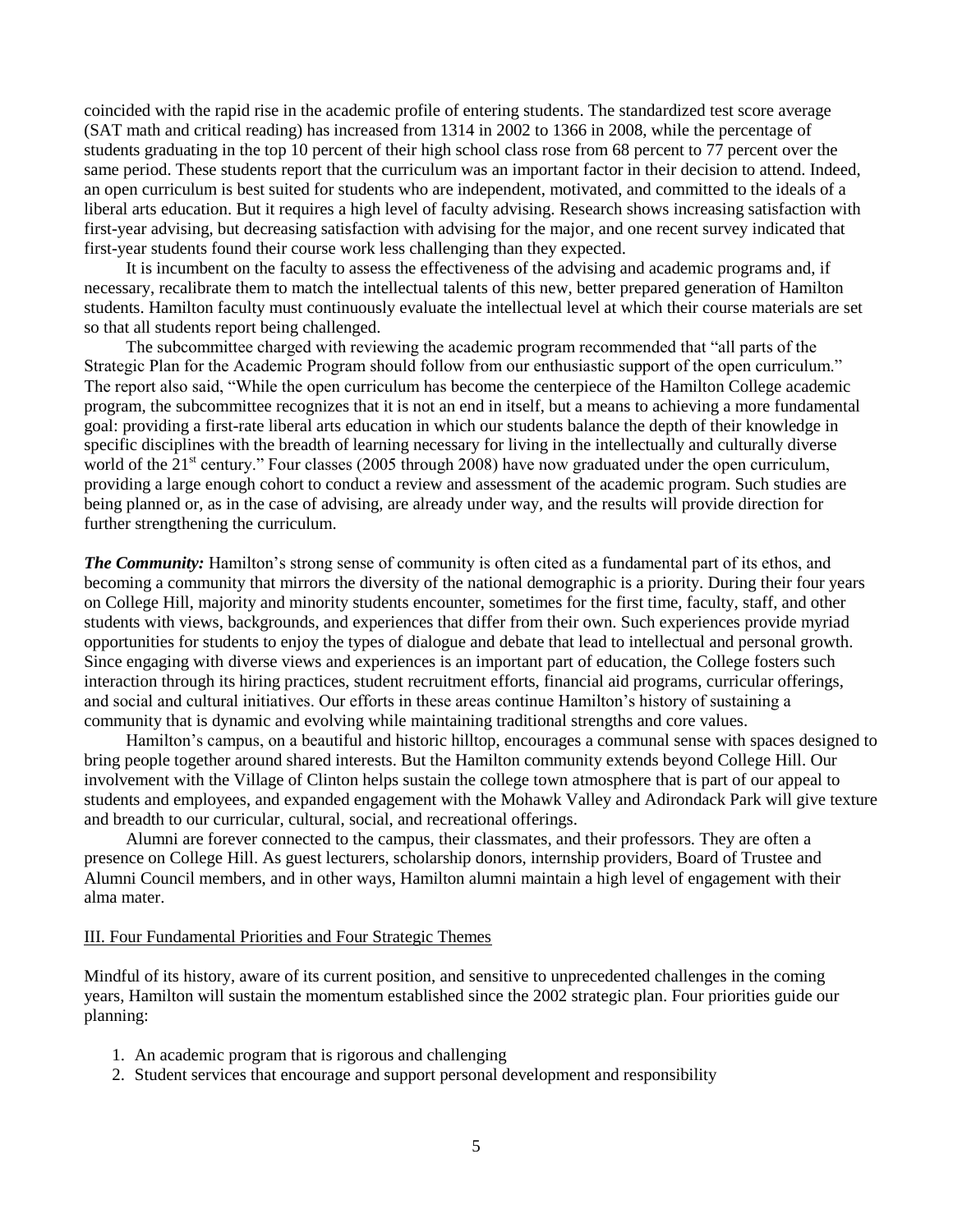coincided with the rapid rise in the academic profile of entering students. The standardized test score average (SAT math and critical reading) has increased from 1314 in 2002 to 1366 in 2008, while the percentage of students graduating in the top 10 percent of their high school class rose from 68 percent to 77 percent over the same period. These students report that the curriculum was an important factor in their decision to attend. Indeed, an open curriculum is best suited for students who are independent, motivated, and committed to the ideals of a liberal arts education. But it requires a high level of faculty advising. Research shows increasing satisfaction with first-year advising, but decreasing satisfaction with advising for the major, and one recent survey indicated that first-year students found their course work less challenging than they expected.

It is incumbent on the faculty to assess the effectiveness of the advising and academic programs and, if necessary, recalibrate them to match the intellectual talents of this new, better prepared generation of Hamilton students. Hamilton faculty must continuously evaluate the intellectual level at which their course materials are set so that all students report being challenged.

The subcommittee charged with reviewing the academic program recommended that "all parts of the Strategic Plan for the Academic Program should follow from our enthusiastic support of the open curriculum." The report also said, "While the open curriculum has become the centerpiece of the Hamilton College academic program, the subcommittee recognizes that it is not an end in itself, but a means to achieving a more fundamental goal: providing a first-rate liberal arts education in which our students balance the depth of their knowledge in specific disciplines with the breadth of learning necessary for living in the intellectually and culturally diverse world of the  $21<sup>st</sup>$  century." Four classes (2005 through 2008) have now graduated under the open curriculum, providing a large enough cohort to conduct a review and assessment of the academic program. Such studies are being planned or, as in the case of advising, are already under way, and the results will provide direction for further strengthening the curriculum.

*The Community:* Hamilton's strong sense of community is often cited as a fundamental part of its ethos, and becoming a community that mirrors the diversity of the national demographic is a priority. During their four years on College Hill, majority and minority students encounter, sometimes for the first time, faculty, staff, and other students with views, backgrounds, and experiences that differ from their own. Such experiences provide myriad opportunities for students to enjoy the types of dialogue and debate that lead to intellectual and personal growth. Since engaging with diverse views and experiences is an important part of education, the College fosters such interaction through its hiring practices, student recruitment efforts, financial aid programs, curricular offerings, and social and cultural initiatives. Our efforts in these areas continue Hamilton's history of sustaining a community that is dynamic and evolving while maintaining traditional strengths and core values.

Hamilton's campus, on a beautiful and historic hilltop, encourages a communal sense with spaces designed to bring people together around shared interests. But the Hamilton community extends beyond College Hill. Our involvement with the Village of Clinton helps sustain the college town atmosphere that is part of our appeal to students and employees, and expanded engagement with the Mohawk Valley and Adirondack Park will give texture and breadth to our curricular, cultural, social, and recreational offerings.

Alumni are forever connected to the campus, their classmates, and their professors. They are often a presence on College Hill. As guest lecturers, scholarship donors, internship providers, Board of Trustee and Alumni Council members, and in other ways, Hamilton alumni maintain a high level of engagement with their alma mater.

#### III. Four Fundamental Priorities and Four Strategic Themes

Mindful of its history, aware of its current position, and sensitive to unprecedented challenges in the coming years, Hamilton will sustain the momentum established since the 2002 strategic plan. Four priorities guide our planning:

- 1. An academic program that is rigorous and challenging
- 2. Student services that encourage and support personal development and responsibility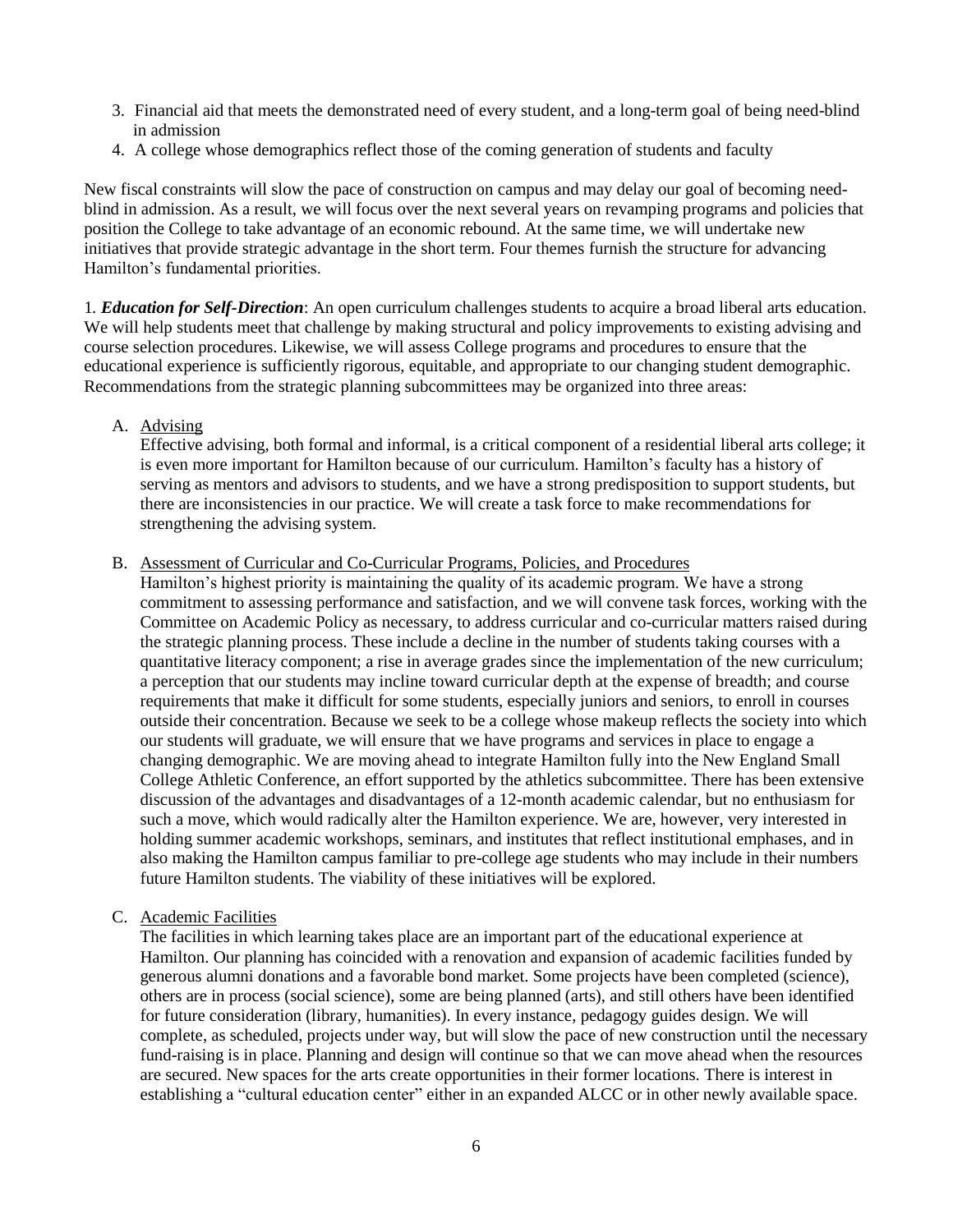- 3. Financial aid that meets the demonstrated need of every student, and a long-term goal of being need-blind in admission
- 4. A college whose demographics reflect those of the coming generation of students and faculty

New fiscal constraints will slow the pace of construction on campus and may delay our goal of becoming needblind in admission. As a result, we will focus over the next several years on revamping programs and policies that position the College to take advantage of an economic rebound. At the same time, we will undertake new initiatives that provide strategic advantage in the short term. Four themes furnish the structure for advancing Hamilton's fundamental priorities.

1*. Education for Self-Direction*: An open curriculum challenges students to acquire a broad liberal arts education. We will help students meet that challenge by making structural and policy improvements to existing advising and course selection procedures. Likewise, we will assess College programs and procedures to ensure that the educational experience is sufficiently rigorous, equitable, and appropriate to our changing student demographic. Recommendations from the strategic planning subcommittees may be organized into three areas:

A. Advising

Effective advising, both formal and informal, is a critical component of a residential liberal arts college; it is even more important for Hamilton because of our curriculum. Hamilton's faculty has a history of serving as mentors and advisors to students, and we have a strong predisposition to support students, but there are inconsistencies in our practice. We will create a task force to make recommendations for strengthening the advising system.

#### B. Assessment of Curricular and Co-Curricular Programs, Policies, and Procedures

Hamilton's highest priority is maintaining the quality of its academic program. We have a strong commitment to assessing performance and satisfaction, and we will convene task forces, working with the Committee on Academic Policy as necessary, to address curricular and co-curricular matters raised during the strategic planning process. These include a decline in the number of students taking courses with a quantitative literacy component; a rise in average grades since the implementation of the new curriculum; a perception that our students may incline toward curricular depth at the expense of breadth; and course requirements that make it difficult for some students, especially juniors and seniors, to enroll in courses outside their concentration. Because we seek to be a college whose makeup reflects the society into which our students will graduate, we will ensure that we have programs and services in place to engage a changing demographic. We are moving ahead to integrate Hamilton fully into the New England Small College Athletic Conference, an effort supported by the athletics subcommittee. There has been extensive discussion of the advantages and disadvantages of a 12-month academic calendar, but no enthusiasm for such a move, which would radically alter the Hamilton experience. We are, however, very interested in holding summer academic workshops, seminars, and institutes that reflect institutional emphases, and in also making the Hamilton campus familiar to pre-college age students who may include in their numbers future Hamilton students. The viability of these initiatives will be explored.

#### C. Academic Facilities

The facilities in which learning takes place are an important part of the educational experience at Hamilton. Our planning has coincided with a renovation and expansion of academic facilities funded by generous alumni donations and a favorable bond market. Some projects have been completed (science), others are in process (social science), some are being planned (arts), and still others have been identified for future consideration (library, humanities). In every instance, pedagogy guides design. We will complete, as scheduled, projects under way, but will slow the pace of new construction until the necessary fund-raising is in place. Planning and design will continue so that we can move ahead when the resources are secured. New spaces for the arts create opportunities in their former locations. There is interest in establishing a "cultural education center" either in an expanded ALCC or in other newly available space.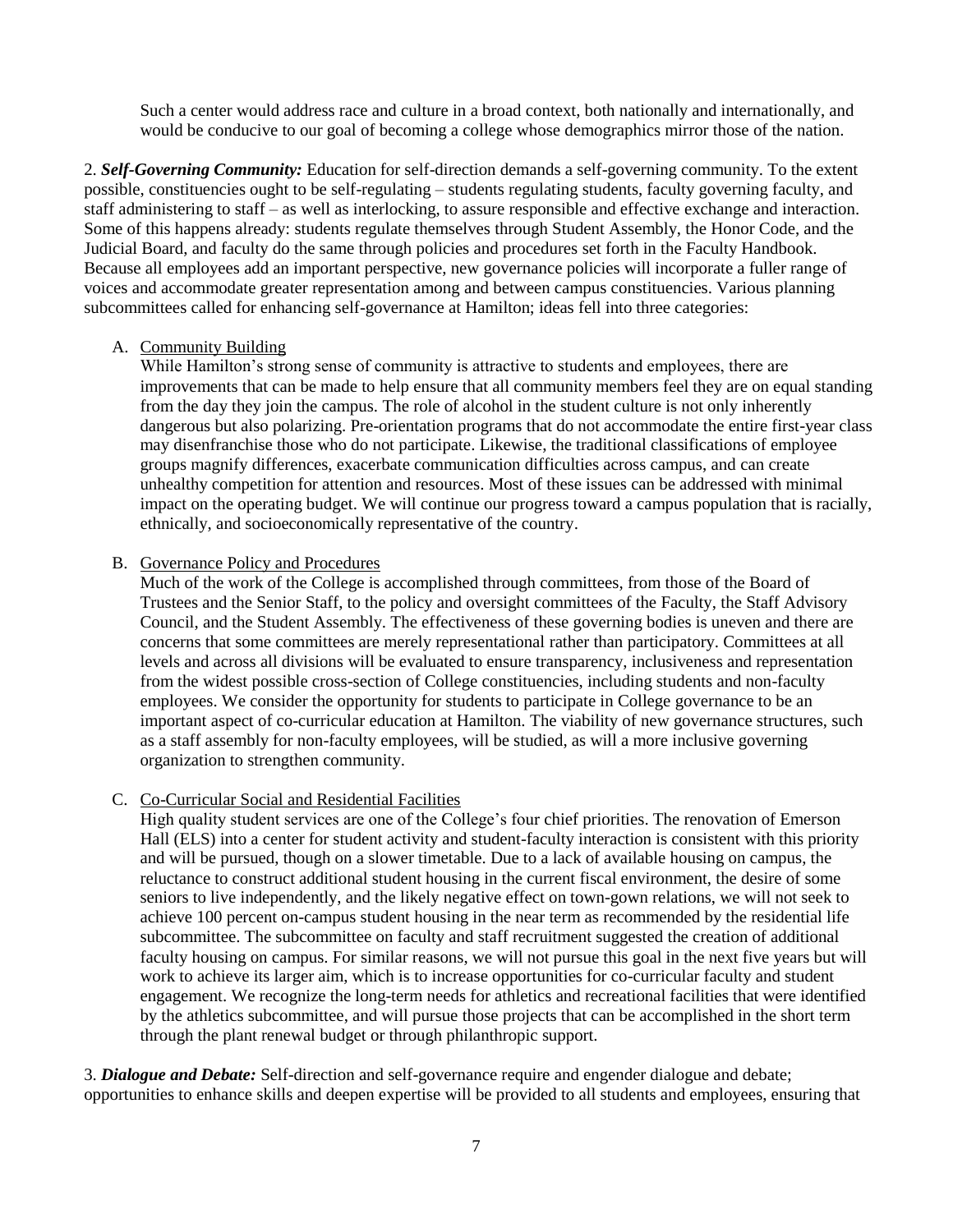Such a center would address race and culture in a broad context, both nationally and internationally, and would be conducive to our goal of becoming a college whose demographics mirror those of the nation.

2. *Self-Governing Community:* Education for self-direction demands a self-governing community. To the extent possible, constituencies ought to be self-regulating – students regulating students, faculty governing faculty, and staff administering to staff – as well as interlocking, to assure responsible and effective exchange and interaction. Some of this happens already: students regulate themselves through Student Assembly, the Honor Code, and the Judicial Board, and faculty do the same through policies and procedures set forth in the Faculty Handbook. Because all employees add an important perspective, new governance policies will incorporate a fuller range of voices and accommodate greater representation among and between campus constituencies. Various planning subcommittees called for enhancing self-governance at Hamilton; ideas fell into three categories:

#### A. Community Building

While Hamilton's strong sense of community is attractive to students and employees, there are improvements that can be made to help ensure that all community members feel they are on equal standing from the day they join the campus. The role of alcohol in the student culture is not only inherently dangerous but also polarizing. Pre-orientation programs that do not accommodate the entire first-year class may disenfranchise those who do not participate. Likewise, the traditional classifications of employee groups magnify differences, exacerbate communication difficulties across campus, and can create unhealthy competition for attention and resources. Most of these issues can be addressed with minimal impact on the operating budget. We will continue our progress toward a campus population that is racially, ethnically, and socioeconomically representative of the country.

#### B. Governance Policy and Procedures

Much of the work of the College is accomplished through committees, from those of the Board of Trustees and the Senior Staff, to the policy and oversight committees of the Faculty, the Staff Advisory Council, and the Student Assembly. The effectiveness of these governing bodies is uneven and there are concerns that some committees are merely representational rather than participatory. Committees at all levels and across all divisions will be evaluated to ensure transparency, inclusiveness and representation from the widest possible cross-section of College constituencies, including students and non-faculty employees. We consider the opportunity for students to participate in College governance to be an important aspect of co-curricular education at Hamilton. The viability of new governance structures, such as a staff assembly for non-faculty employees, will be studied, as will a more inclusive governing organization to strengthen community.

## C. Co-Curricular Social and Residential Facilities

High quality student services are one of the College's four chief priorities. The renovation of Emerson Hall (ELS) into a center for student activity and student-faculty interaction is consistent with this priority and will be pursued, though on a slower timetable. Due to a lack of available housing on campus, the reluctance to construct additional student housing in the current fiscal environment, the desire of some seniors to live independently, and the likely negative effect on town-gown relations, we will not seek to achieve 100 percent on-campus student housing in the near term as recommended by the residential life subcommittee. The subcommittee on faculty and staff recruitment suggested the creation of additional faculty housing on campus. For similar reasons, we will not pursue this goal in the next five years but will work to achieve its larger aim, which is to increase opportunities for co-curricular faculty and student engagement. We recognize the long-term needs for athletics and recreational facilities that were identified by the athletics subcommittee, and will pursue those projects that can be accomplished in the short term through the plant renewal budget or through philanthropic support.

3. *Dialogue and Debate:* Self-direction and self-governance require and engender dialogue and debate; opportunities to enhance skills and deepen expertise will be provided to all students and employees, ensuring that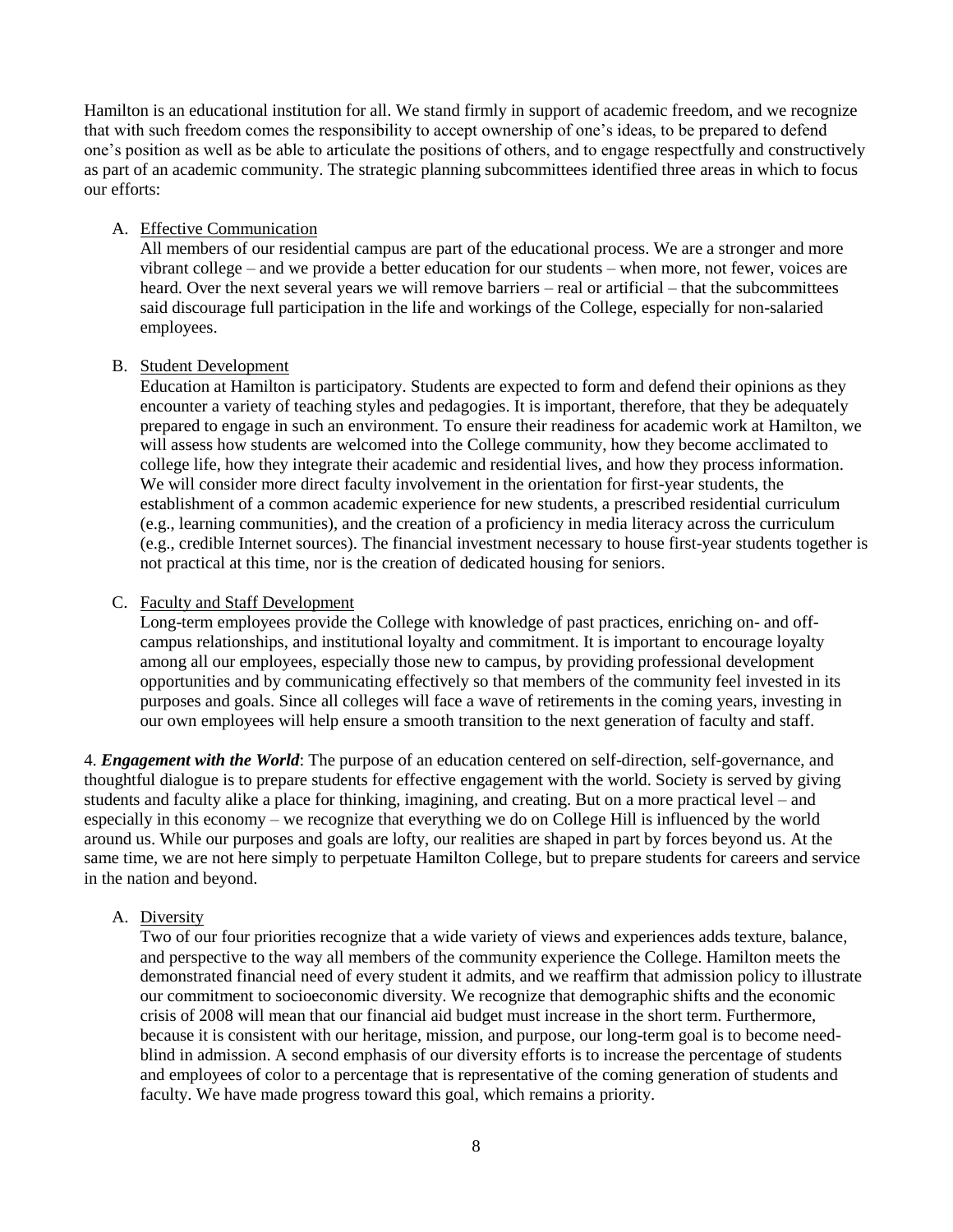Hamilton is an educational institution for all. We stand firmly in support of academic freedom, and we recognize that with such freedom comes the responsibility to accept ownership of one's ideas, to be prepared to defend one's position as well as be able to articulate the positions of others, and to engage respectfully and constructively as part of an academic community. The strategic planning subcommittees identified three areas in which to focus our efforts:

## A. Effective Communication

All members of our residential campus are part of the educational process. We are a stronger and more vibrant college – and we provide a better education for our students – when more, not fewer, voices are heard. Over the next several years we will remove barriers – real or artificial – that the subcommittees said discourage full participation in the life and workings of the College, especially for non-salaried employees.

## B. Student Development

Education at Hamilton is participatory. Students are expected to form and defend their opinions as they encounter a variety of teaching styles and pedagogies. It is important, therefore, that they be adequately prepared to engage in such an environment. To ensure their readiness for academic work at Hamilton, we will assess how students are welcomed into the College community, how they become acclimated to college life, how they integrate their academic and residential lives, and how they process information. We will consider more direct faculty involvement in the orientation for first-year students, the establishment of a common academic experience for new students, a prescribed residential curriculum (e.g., learning communities), and the creation of a proficiency in media literacy across the curriculum (e.g., credible Internet sources). The financial investment necessary to house first-year students together is not practical at this time, nor is the creation of dedicated housing for seniors.

## C. Faculty and Staff Development

Long-term employees provide the College with knowledge of past practices, enriching on- and offcampus relationships, and institutional loyalty and commitment. It is important to encourage loyalty among all our employees, especially those new to campus, by providing professional development opportunities and by communicating effectively so that members of the community feel invested in its purposes and goals. Since all colleges will face a wave of retirements in the coming years, investing in our own employees will help ensure a smooth transition to the next generation of faculty and staff.

4. *Engagement with the World*: The purpose of an education centered on self-direction, self-governance, and thoughtful dialogue is to prepare students for effective engagement with the world. Society is served by giving students and faculty alike a place for thinking, imagining, and creating. But on a more practical level – and especially in this economy – we recognize that everything we do on College Hill is influenced by the world around us. While our purposes and goals are lofty, our realities are shaped in part by forces beyond us. At the same time, we are not here simply to perpetuate Hamilton College, but to prepare students for careers and service in the nation and beyond.

## A. Diversity

Two of our four priorities recognize that a wide variety of views and experiences adds texture, balance, and perspective to the way all members of the community experience the College. Hamilton meets the demonstrated financial need of every student it admits, and we reaffirm that admission policy to illustrate our commitment to socioeconomic diversity. We recognize that demographic shifts and the economic crisis of 2008 will mean that our financial aid budget must increase in the short term. Furthermore, because it is consistent with our heritage, mission, and purpose, our long-term goal is to become needblind in admission. A second emphasis of our diversity efforts is to increase the percentage of students and employees of color to a percentage that is representative of the coming generation of students and faculty. We have made progress toward this goal, which remains a priority.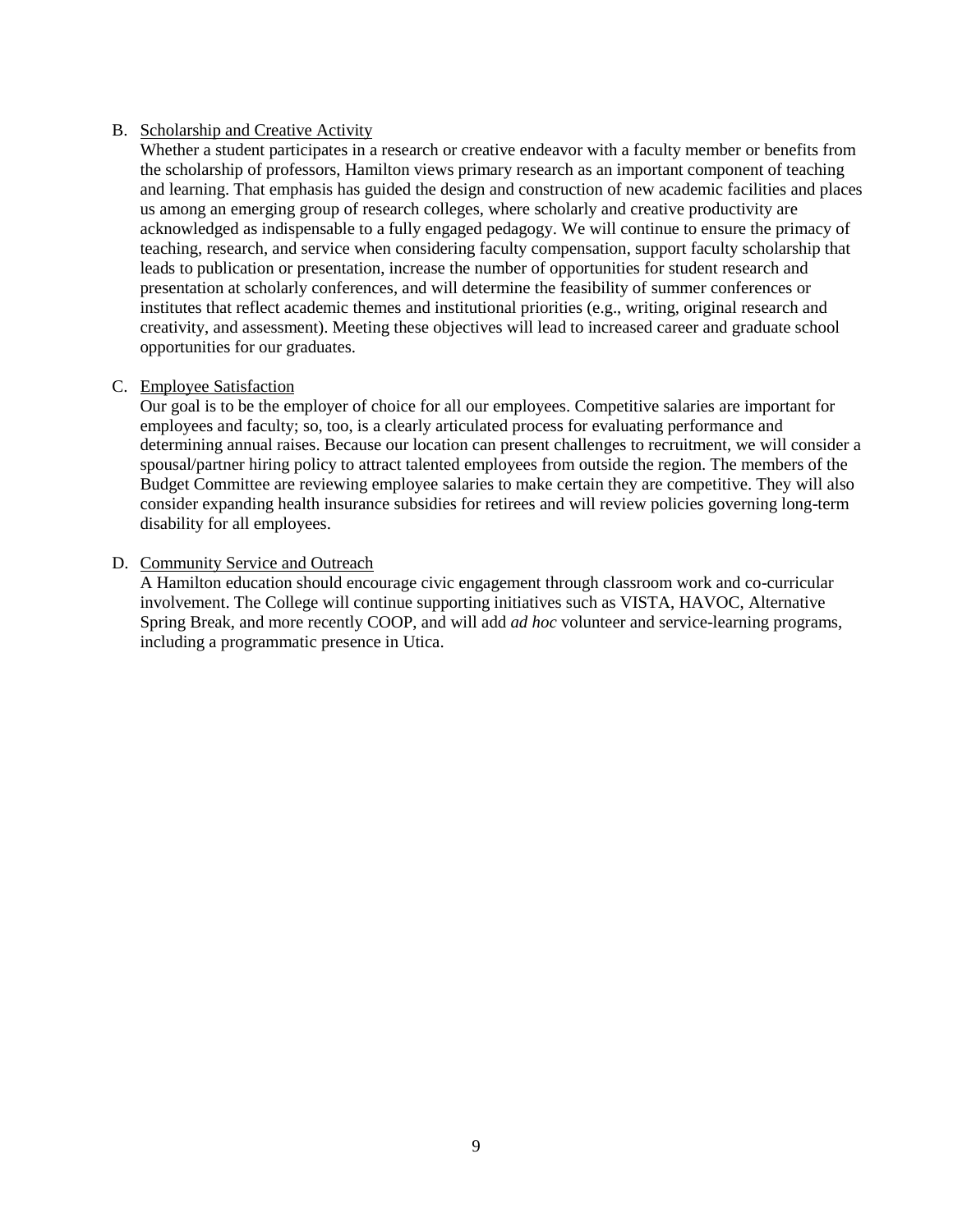## B. Scholarship and Creative Activity

Whether a student participates in a research or creative endeavor with a faculty member or benefits from the scholarship of professors, Hamilton views primary research as an important component of teaching and learning. That emphasis has guided the design and construction of new academic facilities and places us among an emerging group of research colleges, where scholarly and creative productivity are acknowledged as indispensable to a fully engaged pedagogy. We will continue to ensure the primacy of teaching, research, and service when considering faculty compensation, support faculty scholarship that leads to publication or presentation, increase the number of opportunities for student research and presentation at scholarly conferences, and will determine the feasibility of summer conferences or institutes that reflect academic themes and institutional priorities (e.g., writing, original research and creativity, and assessment). Meeting these objectives will lead to increased career and graduate school opportunities for our graduates.

## C. Employee Satisfaction

Our goal is to be the employer of choice for all our employees. Competitive salaries are important for employees and faculty; so, too, is a clearly articulated process for evaluating performance and determining annual raises. Because our location can present challenges to recruitment, we will consider a spousal/partner hiring policy to attract talented employees from outside the region. The members of the Budget Committee are reviewing employee salaries to make certain they are competitive. They will also consider expanding health insurance subsidies for retirees and will review policies governing long-term disability for all employees.

## D. Community Service and Outreach

A Hamilton education should encourage civic engagement through classroom work and co-curricular involvement. The College will continue supporting initiatives such as VISTA, HAVOC, Alternative Spring Break, and more recently COOP, and will add *ad hoc* volunteer and service-learning programs, including a programmatic presence in Utica.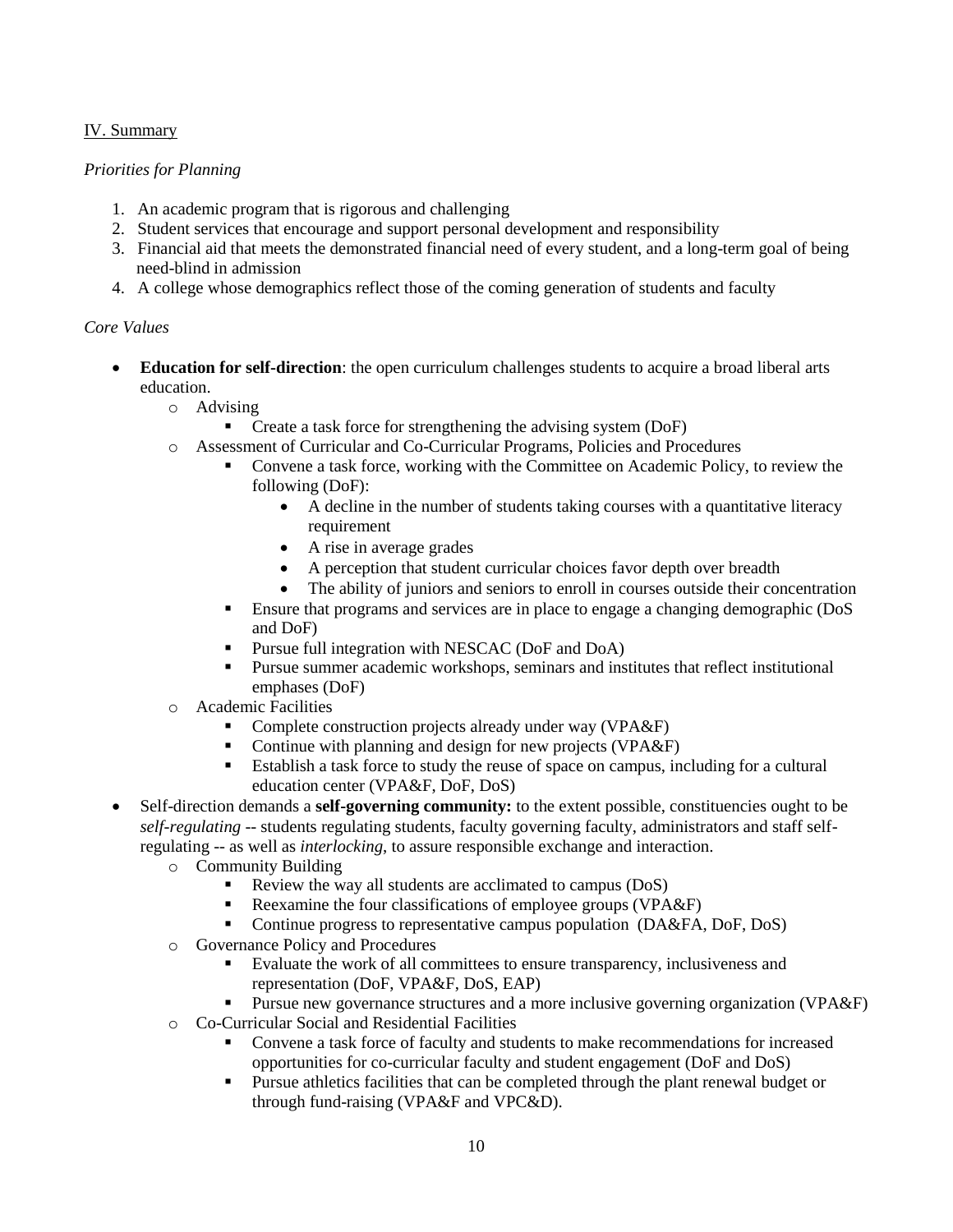## IV. Summary

## *Priorities for Planning*

- 1. An academic program that is rigorous and challenging
- 2. Student services that encourage and support personal development and responsibility
- 3. Financial aid that meets the demonstrated financial need of every student, and a long-term goal of being need-blind in admission
- 4. A college whose demographics reflect those of the coming generation of students and faculty

## *Core Values*

- **Education for self-direction**: the open curriculum challenges students to acquire a broad liberal arts education.
	- o Advising
		- **•** Create a task force for strengthening the advising system (DoF)
	- o Assessment of Curricular and Co-Curricular Programs, Policies and Procedures
		- Convene a task force, working with the Committee on Academic Policy, to review the following (DoF):
			- A decline in the number of students taking courses with a quantitative literacy requirement
			- A rise in average grades
			- A perception that student curricular choices favor depth over breadth
			- The ability of juniors and seniors to enroll in courses outside their concentration
		- Ensure that programs and services are in place to engage a changing demographic (DoS and DoF)
		- **Pursue full integration with NESCAC (DoF and DoA)**
		- Pursue summer academic workshops, seminars and institutes that reflect institutional emphases (DoF)
	- o Academic Facilities
		- Complete construction projects already under way (VPA&F)
		- Continue with planning and design for new projects (VPA&F)
		- Establish a task force to study the reuse of space on campus, including for a cultural education center (VPA&F, DoF, DoS)
- Self-direction demands a **self-governing community:** to the extent possible, constituencies ought to be *self-regulating* -- students regulating students, faculty governing faculty, administrators and staff selfregulating -- as well as *interlocking*, to assure responsible exchange and interaction.
	- o Community Building
		- Review the way all students are acclimated to campus (DoS)
		- Reexamine the four classifications of employee groups (VPA&F)
		- Continue progress to representative campus population (DA&FA, DoF, DoS)
	- o Governance Policy and Procedures
		- Evaluate the work of all committees to ensure transparency, inclusiveness and representation (DoF, VPA&F, DoS, EAP)
		- Pursue new governance structures and a more inclusive governing organization (VPA&F)
	- o Co-Curricular Social and Residential Facilities
		- Convene a task force of faculty and students to make recommendations for increased opportunities for co-curricular faculty and student engagement (DoF and DoS)
		- **Pursue athletics facilities that can be completed through the plant renewal budget or** through fund-raising (VPA&F and VPC&D).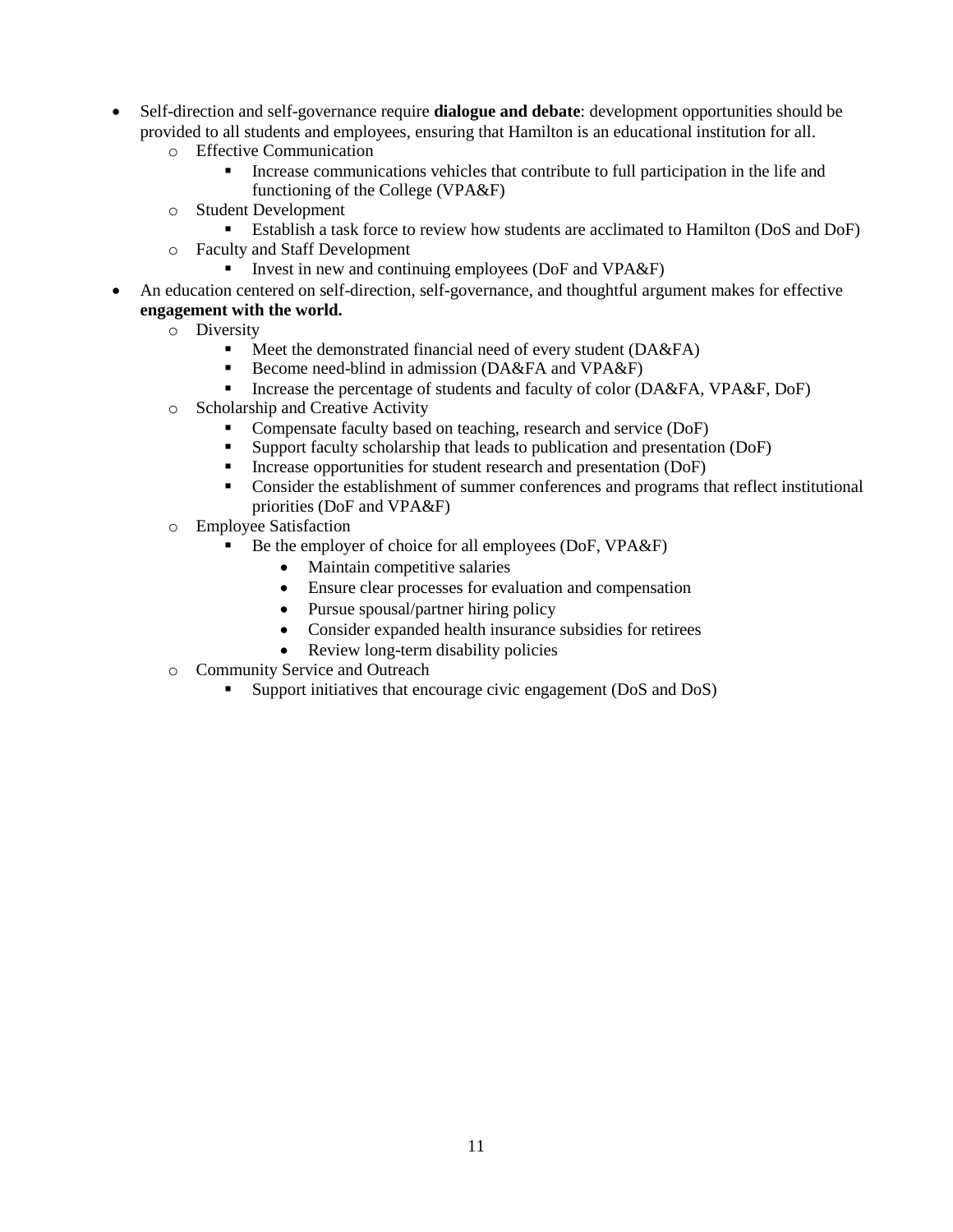- Self-direction and self-governance require **dialogue and debate**: development opportunities should be provided to all students and employees, ensuring that Hamilton is an educational institution for all.
	- o Effective Communication
		- Increase communications vehicles that contribute to full participation in the life and functioning of the College (VPA&F)
	- o Student Development
		- Establish a task force to review how students are acclimated to Hamilton (DoS and DoF)
	- o Faculty and Staff Development
		- Invest in new and continuing employees (DoF and VPA&F)
- An education centered on self-direction, self-governance, and thoughtful argument makes for effective **engagement with the world.**
	- o Diversity
		- $\blacksquare$  Meet the demonstrated financial need of every student (DA&FA)
		- Become need-blind in admission (DA&FA and VPA&F)
		- Increase the percentage of students and faculty of color (DA&FA, VPA&F, DoF)
	- o Scholarship and Creative Activity
		- Compensate faculty based on teaching, research and service (DoF)
		- Support faculty scholarship that leads to publication and presentation (DoF)
		- Increase opportunities for student research and presentation (DoF)
		- Consider the establishment of summer conferences and programs that reflect institutional priorities (DoF and VPA&F)
	- o Employee Satisfaction
		- Be the employer of choice for all employees (DoF, VPA&F)
			- Maintain competitive salaries
			- Ensure clear processes for evaluation and compensation
			- Pursue spousal/partner hiring policy
			- Consider expanded health insurance subsidies for retirees
			- Review long-term disability policies
	- o Community Service and Outreach
		- Support initiatives that encourage civic engagement (DoS and DoS)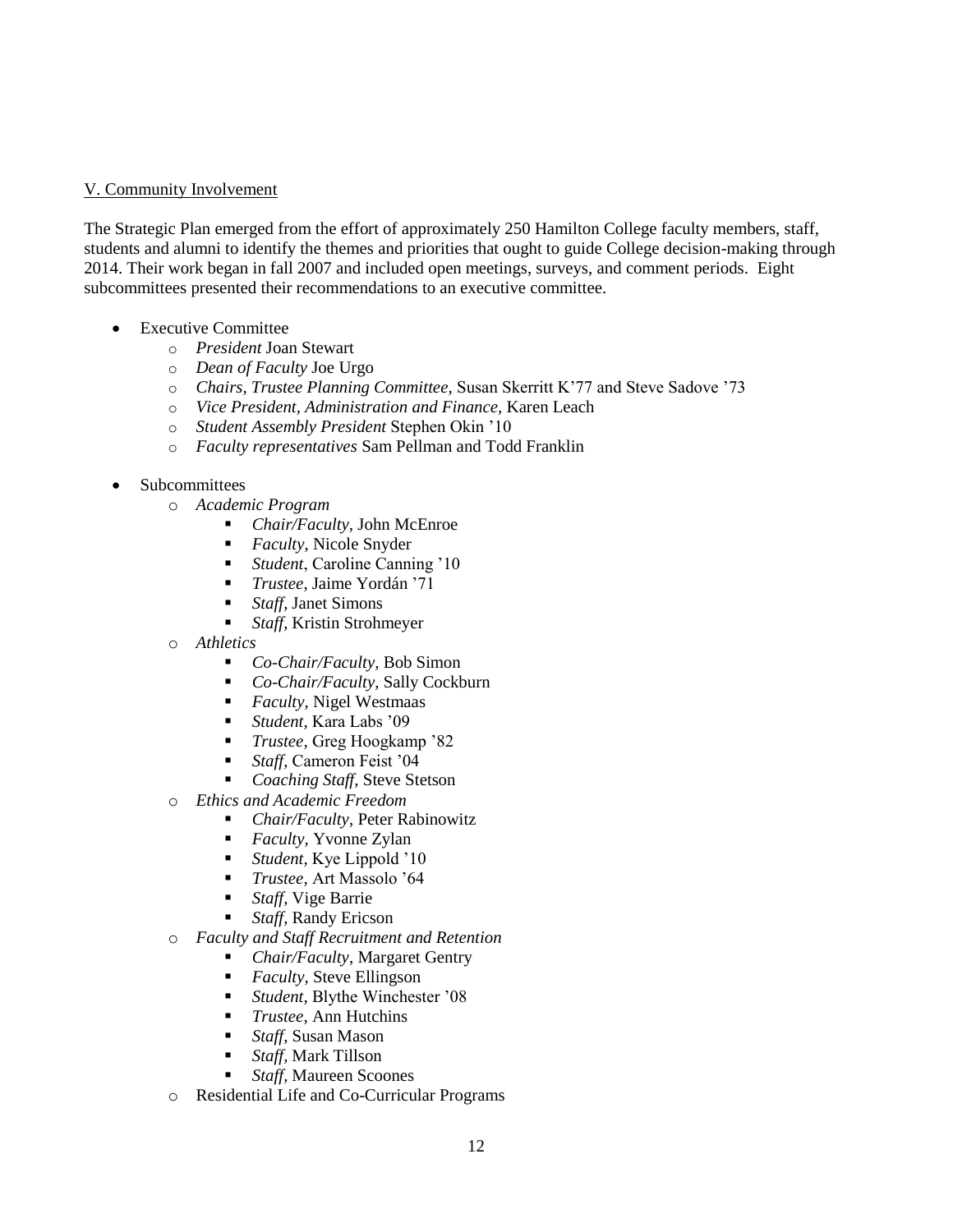## V. Community Involvement

The Strategic Plan emerged from the effort of approximately 250 Hamilton College faculty members, staff, students and alumni to identify the themes and priorities that ought to guide College decision-making through 2014. Their work began in fall 2007 and included open meetings, surveys, and comment periods. Eight subcommittees presented their recommendations to an executive committee.

- Executive Committee
	- o *President* Joan Stewart
	- o *Dean of Faculty* Joe Urgo
	- o *Chairs, Trustee Planning Committee,* Susan Skerritt K'77 and Steve Sadove '73
	- o *Vice President, Administration and Finance,* Karen Leach
	- o *Student Assembly President* Stephen Okin '10
	- o *Faculty representatives* Sam Pellman and Todd Franklin
- Subcommittees
	- o *Academic Program*
		- *Chair/Faculty,* John McEnroe
		- *Faculty*, Nicole Snyder
		- *Student*, Caroline Canning '10
		- *Trustee*, Jaime Yordán '71
		- *Staff*, Janet Simons
		- *Staff*, Kristin Strohmeyer
	- o *Athletics*
		- *Co-Chair/Faculty*, Bob Simon
		- *Co*-*Chair/Faculty*, Sally Cockburn
		- *Faculty,* Nigel Westmaas
		- *Student,* Kara Labs '09
		- *Trustee,* Greg Hoogkamp '82
		- *Staff,* Cameron Feist '04
		- *Coaching Staff,* Steve Stetson
	- o *Ethics and Academic Freedom*
		- *Chair/Faculty*, Peter Rabinowitz
		- *Faculty,* Yvonne Zylan
		- *Student,* Kye Lippold '10
		- *Trustee,* Art Massolo '64
		- *Staff,* Vige Barrie
		- *Staff,* Randy Ericson
	- o *Faculty and Staff Recruitment and Retention*
		- *Chair/Faculty*, Margaret Gentry
		- *Faculty*, Steve Ellingson
		- *Student,* Blythe Winchester '08
		- *Trustee,* Ann Hutchins
		- *Staff*, Susan Mason
		- *Staff,* Mark Tillson
		- *Staff,* Maureen Scoones
	- o Residential Life and Co-Curricular Programs